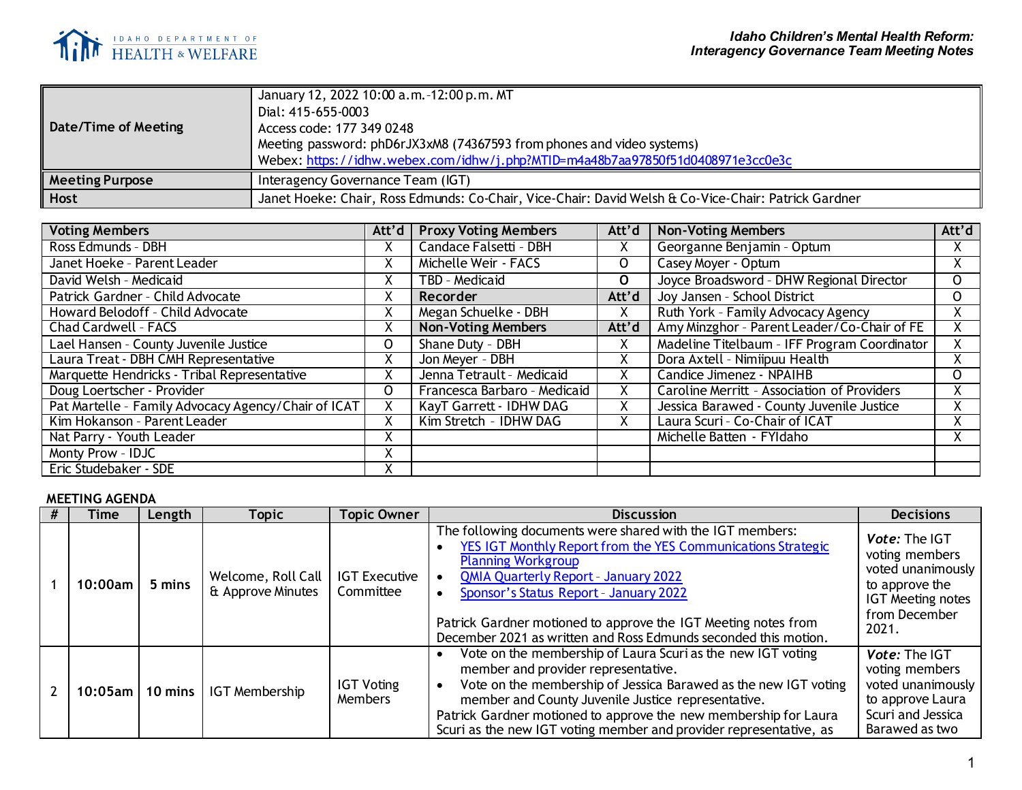

| Date/Time of Meeting   | January 12, 2022 10:00 a.m. -12:00 p.m. MT<br>Dial: 415-655-0003<br>Access code: 177 349 0248<br>Meeting password: phD6rJX3xM8 (74367593 from phones and video systems)<br>Webex: https://idhw.webex.com/idhw/j.php?MTID=m4a48b7aa97850f51d0408971e3cc0e3c |
|------------------------|------------------------------------------------------------------------------------------------------------------------------------------------------------------------------------------------------------------------------------------------------------|
| <b>Meeting Purpose</b> | Interagency Governance Team (IGT)                                                                                                                                                                                                                          |
| <b>Host</b>            | Janet Hoeke: Chair, Ross Edmunds: Co-Chair, Vice-Chair: David Welsh & Co-Vice-Chair: Patrick Gardner                                                                                                                                                       |

| <b>Voting Members</b>                               | Att'd     | <b>Proxy Voting Members</b>  | Att'd       | <b>Non-Voting Members</b>                    | Att'd        |
|-----------------------------------------------------|-----------|------------------------------|-------------|----------------------------------------------|--------------|
| Ross Edmunds - DBH                                  |           | Candace Falsetti - DBH       | χ           | Georganne Benjamin - Optum                   | X.           |
| Janet Hoeke - Parent Leader                         | $\lambda$ | Michelle Weir - FACS         | 0           | Casey Moyer - Optum                          | X.           |
| David Welsh - Medicaid                              |           | TBD - Medicaid               | $\mathbf 0$ | Joyce Broadsword - DHW Regional Director     | 0            |
| Patrick Gardner - Child Advocate                    | $\lambda$ | Recorder                     | Att'd       | Joy Jansen - School District                 | $\mathsf{O}$ |
| Howard Belodoff - Child Advocate                    | X         | Megan Schuelke - DBH         | χ           | Ruth York - Family Advocacy Agency           | Χ.           |
| Chad Cardwell - FACS                                | A         | <b>Non-Voting Members</b>    | Att'd       | Amy Minzghor - Parent Leader/Co-Chair of FE  |              |
| Lael Hansen - County Juvenile Justice               |           | Shane Duty - DBH             | Χ           | Madeline Titelbaum - IFF Program Coordinator | X.           |
| Laura Treat - DBH CMH Representative                | X         | Jon Meyer - DBH              | Χ           | Dora Axtell - Nimiipuu Health                | X.           |
| Marquette Hendricks - Tribal Representative         |           | Jenna Tetrault - Medicaid    | Χ           | Candice Jimenez - NPAIHB                     | $\Omega$     |
| Doug Loertscher - Provider                          | O         | Francesca Barbaro - Medicaid | x           | Caroline Merritt - Association of Providers  | X.           |
| Pat Martelle - Family Advocacy Agency/Chair of ICAT |           | KayT Garrett - IDHW DAG      | x           | Jessica Barawed - County Juvenile Justice    | X.           |
| Kim Hokanson - Parent Leader                        |           | Kim Stretch - IDHW DAG       | Χ           | Laura Scuri - Co-Chair of ICAT               | X.           |
| Nat Parry - Youth Leader                            |           |                              |             | Michelle Batten - FYIdaho                    |              |
| Monty Prow - IDJC                                   | Χ         |                              |             |                                              |              |
| Eric Studebaker - SDE                               |           |                              |             |                                              |              |

## **MEETING AGENDA**

| Time         | Length    | Topic                                   | <b>Topic Owner</b>                | <b>Discussion</b>                                                                                                                                                                                                                                                                                                                                                                    | <b>Decisions</b>                                                                                                                    |
|--------------|-----------|-----------------------------------------|-----------------------------------|--------------------------------------------------------------------------------------------------------------------------------------------------------------------------------------------------------------------------------------------------------------------------------------------------------------------------------------------------------------------------------------|-------------------------------------------------------------------------------------------------------------------------------------|
| $10:00$ am   | 5 mins    | Welcome, Roll Call<br>& Approve Minutes | <b>IGT Executive</b><br>Committee | The following documents were shared with the IGT members:<br>YES IGT Monthly Report from the YES Communications Strategic<br><b>Planning Workgroup</b><br><b>QMIA Quarterly Report - January 2022</b><br>Sponsor's Status Report - January 2022<br>Patrick Gardner motioned to approve the IGT Meeting notes from<br>December 2021 as written and Ross Edmunds seconded this motion. | <b>Vote: The IGT</b><br>voting members<br>voted unanimously<br>to approve the<br><b>IGT Meeting notes</b><br>from December<br>2021. |
| $10:05$ am l | 10 mins 1 | IGT Membership                          | <b>IGT Voting</b><br>Members      | Vote on the membership of Laura Scuri as the new IGT voting<br>member and provider representative.<br>Vote on the membership of Jessica Barawed as the new IGT voting<br>member and County Juvenile Justice representative.<br>Patrick Gardner motioned to approve the new membership for Laura<br>Scuri as the new IGT voting member and provider representative, as                | Vote: The IGT<br>voting members<br>voted unanimously<br>to approve Laura<br>Scuri and Jessica<br>Barawed as two                     |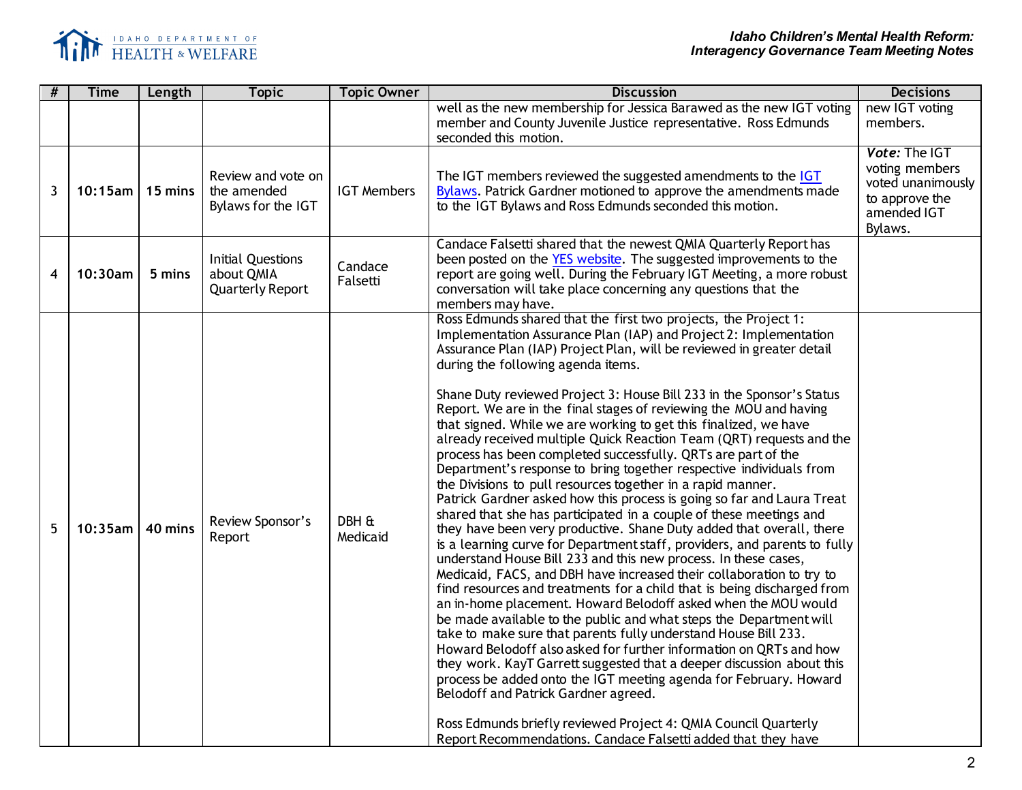

| # | <b>Time</b>          | Length  | <b>Topic</b>                                                      | <b>Topic Owner</b> | <b>Discussion</b>                                                                                                                                                                                                                                                                                                                                                                                                                                                                                                                                                                                                                                                                                                                                                                                                                                                                                                                                                                                                                                                                                                                                                                                                                                                                                                                                                                                                                                                                                                                                                                                                                                                                                                                                                                                                                                                                           | <b>Decisions</b>                                                                                 |
|---|----------------------|---------|-------------------------------------------------------------------|--------------------|---------------------------------------------------------------------------------------------------------------------------------------------------------------------------------------------------------------------------------------------------------------------------------------------------------------------------------------------------------------------------------------------------------------------------------------------------------------------------------------------------------------------------------------------------------------------------------------------------------------------------------------------------------------------------------------------------------------------------------------------------------------------------------------------------------------------------------------------------------------------------------------------------------------------------------------------------------------------------------------------------------------------------------------------------------------------------------------------------------------------------------------------------------------------------------------------------------------------------------------------------------------------------------------------------------------------------------------------------------------------------------------------------------------------------------------------------------------------------------------------------------------------------------------------------------------------------------------------------------------------------------------------------------------------------------------------------------------------------------------------------------------------------------------------------------------------------------------------------------------------------------------------|--------------------------------------------------------------------------------------------------|
|   |                      |         |                                                                   |                    | well as the new membership for Jessica Barawed as the new IGT voting<br>member and County Juvenile Justice representative. Ross Edmunds<br>seconded this motion.                                                                                                                                                                                                                                                                                                                                                                                                                                                                                                                                                                                                                                                                                                                                                                                                                                                                                                                                                                                                                                                                                                                                                                                                                                                                                                                                                                                                                                                                                                                                                                                                                                                                                                                            | new IGT voting<br>members.                                                                       |
| 3 | $10:15$ am   15 mins |         | Review and vote on<br>the amended<br>Bylaws for the IGT           | <b>IGT Members</b> | The IGT members reviewed the suggested amendments to the IGT<br>Bylaws. Patrick Gardner motioned to approve the amendments made<br>to the IGT Bylaws and Ross Edmunds seconded this motion.                                                                                                                                                                                                                                                                                                                                                                                                                                                                                                                                                                                                                                                                                                                                                                                                                                                                                                                                                                                                                                                                                                                                                                                                                                                                                                                                                                                                                                                                                                                                                                                                                                                                                                 | Vote: The IGT<br>voting members<br>voted unanimously<br>to approve the<br>amended IGT<br>Bylaws. |
| 4 | 10:30am              | 5 mins  | <b>Initial Questions</b><br>about QMIA<br><b>Quarterly Report</b> |                    |                                                                                                                                                                                                                                                                                                                                                                                                                                                                                                                                                                                                                                                                                                                                                                                                                                                                                                                                                                                                                                                                                                                                                                                                                                                                                                                                                                                                                                                                                                                                                                                                                                                                                                                                                                                                                                                                                             |                                                                                                  |
| 5 | $10:35$ am           | 40 mins | Review Sponsor's<br>Report                                        | DBH &<br>Medicaid  | Ross Edmunds shared that the first two projects, the Project 1:<br>Implementation Assurance Plan (IAP) and Project 2: Implementation<br>Assurance Plan (IAP) Project Plan, will be reviewed in greater detail<br>during the following agenda items.<br>Shane Duty reviewed Project 3: House Bill 233 in the Sponsor's Status<br>Report. We are in the final stages of reviewing the MOU and having<br>that signed. While we are working to get this finalized, we have<br>already received multiple Quick Reaction Team (QRT) requests and the<br>process has been completed successfully. QRTs are part of the<br>Department's response to bring together respective individuals from<br>the Divisions to pull resources together in a rapid manner.<br>Patrick Gardner asked how this process is going so far and Laura Treat<br>shared that she has participated in a couple of these meetings and<br>they have been very productive. Shane Duty added that overall, there<br>is a learning curve for Department staff, providers, and parents to fully<br>understand House Bill 233 and this new process. In these cases,<br>Medicaid, FACS, and DBH have increased their collaboration to try to<br>find resources and treatments for a child that is being discharged from<br>an in-home placement. Howard Belodoff asked when the MOU would<br>be made available to the public and what steps the Department will<br>take to make sure that parents fully understand House Bill 233.<br>Howard Belodoff also asked for further information on QRTs and how<br>they work. KayT Garrett suggested that a deeper discussion about this<br>process be added onto the IGT meeting agenda for February. Howard<br>Belodoff and Patrick Gardner agreed.<br>Ross Edmunds briefly reviewed Project 4: QMIA Council Quarterly<br>Report Recommendations. Candace Falsetti added that they have |                                                                                                  |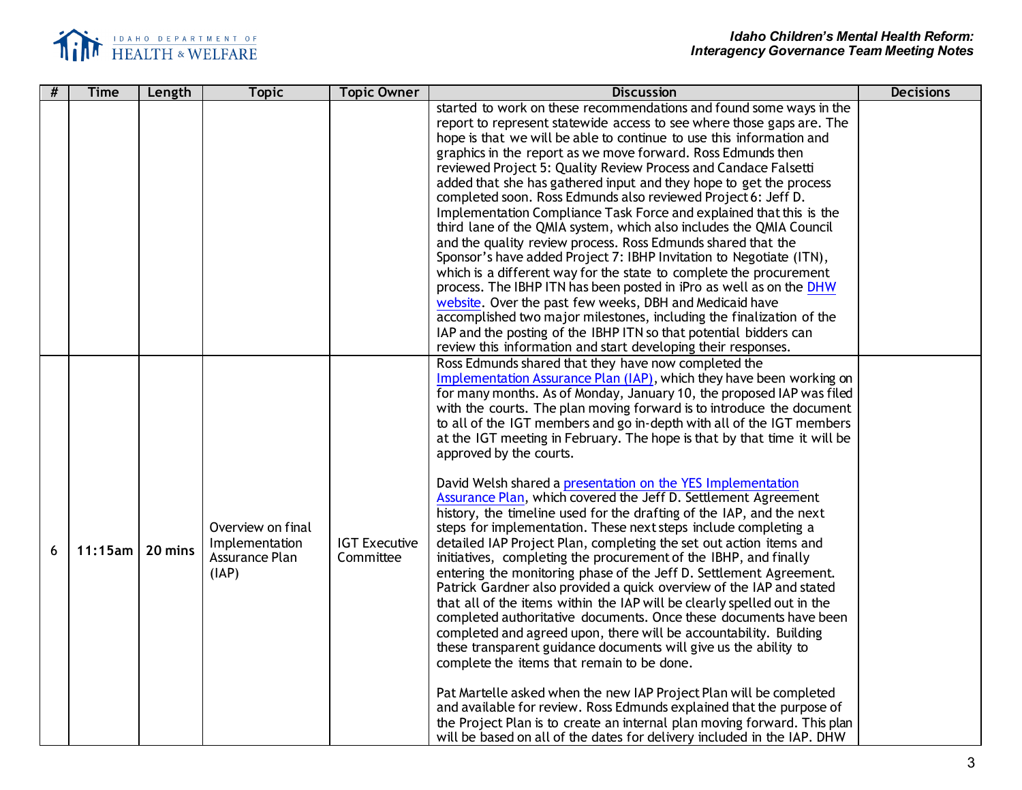

| # | <b>Time</b> | Length  | <b>Topic</b>                                                   | <b>Topic Owner</b>                | <b>Discussion</b>                                                                                                                                                                                                                                                                                                                                                                                                                                                                                                                                                                                                                                                                                                                                                                                                                                                                                                                                                                                                                                                                                                                                                                                                                                                                                                                                                                                                                                                                                                                                                                                                                                                              | <b>Decisions</b> |
|---|-------------|---------|----------------------------------------------------------------|-----------------------------------|--------------------------------------------------------------------------------------------------------------------------------------------------------------------------------------------------------------------------------------------------------------------------------------------------------------------------------------------------------------------------------------------------------------------------------------------------------------------------------------------------------------------------------------------------------------------------------------------------------------------------------------------------------------------------------------------------------------------------------------------------------------------------------------------------------------------------------------------------------------------------------------------------------------------------------------------------------------------------------------------------------------------------------------------------------------------------------------------------------------------------------------------------------------------------------------------------------------------------------------------------------------------------------------------------------------------------------------------------------------------------------------------------------------------------------------------------------------------------------------------------------------------------------------------------------------------------------------------------------------------------------------------------------------------------------|------------------|
|   |             |         |                                                                |                                   | started to work on these recommendations and found some ways in the<br>report to represent statewide access to see where those gaps are. The<br>hope is that we will be able to continue to use this information and<br>graphics in the report as we move forward. Ross Edmunds then<br>reviewed Project 5: Quality Review Process and Candace Falsetti<br>added that she has gathered input and they hope to get the process<br>completed soon. Ross Edmunds also reviewed Project 6: Jeff D.<br>Implementation Compliance Task Force and explained that this is the<br>third lane of the QMIA system, which also includes the QMIA Council<br>and the quality review process. Ross Edmunds shared that the<br>Sponsor's have added Project 7: IBHP Invitation to Negotiate (ITN),<br>which is a different way for the state to complete the procurement<br>process. The IBHP ITN has been posted in iPro as well as on the DHW<br>website. Over the past few weeks, DBH and Medicaid have<br>accomplished two major milestones, including the finalization of the<br>IAP and the posting of the IBHP ITN so that potential bidders can<br>review this information and start developing their responses.                                                                                                                                                                                                                                                                                                                                                                                                                                                                      |                  |
| 6 | $11:15$ am  | 20 mins | Overview on final<br>Implementation<br>Assurance Plan<br>(IAP) | <b>IGT Executive</b><br>Committee | Ross Edmunds shared that they have now completed the<br>Implementation Assurance Plan (IAP), which they have been working on<br>for many months. As of Monday, January 10, the proposed IAP was filed<br>with the courts. The plan moving forward is to introduce the document<br>to all of the IGT members and go in-depth with all of the IGT members<br>at the IGT meeting in February. The hope is that by that time it will be<br>approved by the courts.<br>David Welsh shared a presentation on the YES Implementation<br>Assurance Plan, which covered the Jeff D. Settlement Agreement<br>history, the timeline used for the drafting of the IAP, and the next<br>steps for implementation. These next steps include completing a<br>detailed IAP Project Plan, completing the set out action items and<br>initiatives, completing the procurement of the IBHP, and finally<br>entering the monitoring phase of the Jeff D. Settlement Agreement.<br>Patrick Gardner also provided a quick overview of the IAP and stated<br>that all of the items within the IAP will be clearly spelled out in the<br>completed authoritative documents. Once these documents have been<br>completed and agreed upon, there will be accountability. Building<br>these transparent guidance documents will give us the ability to<br>complete the items that remain to be done.<br>Pat Martelle asked when the new IAP Project Plan will be completed<br>and available for review. Ross Edmunds explained that the purpose of<br>the Project Plan is to create an internal plan moving forward. This plan<br>will be based on all of the dates for delivery included in the IAP. DHW |                  |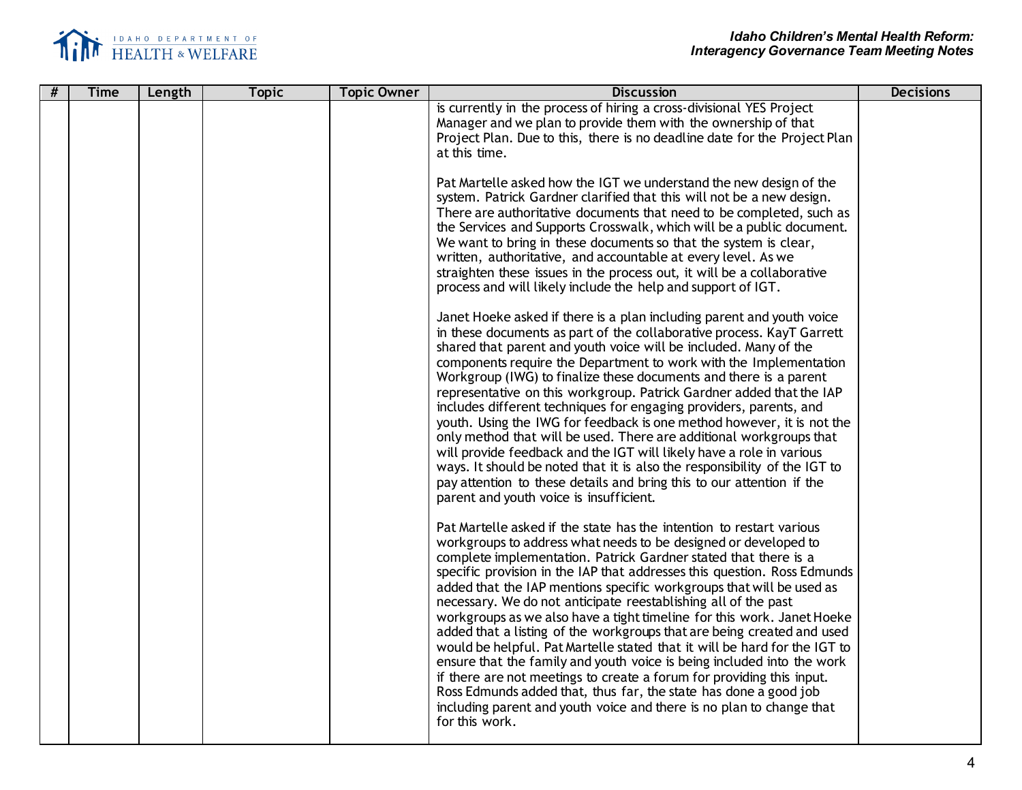

| # | <b>Time</b> | Length | <b>Topic</b> | <b>Topic Owner</b> | <b>Discussion</b>                                                                                                                                                                                                                                                                                                                                                                                                                                                                                                                                                                                                                                                                                                                                                                                                                                                                                                                                                                  | <b>Decisions</b> |
|---|-------------|--------|--------------|--------------------|------------------------------------------------------------------------------------------------------------------------------------------------------------------------------------------------------------------------------------------------------------------------------------------------------------------------------------------------------------------------------------------------------------------------------------------------------------------------------------------------------------------------------------------------------------------------------------------------------------------------------------------------------------------------------------------------------------------------------------------------------------------------------------------------------------------------------------------------------------------------------------------------------------------------------------------------------------------------------------|------------------|
|   |             |        |              |                    | is currently in the process of hiring a cross-divisional YES Project<br>Manager and we plan to provide them with the ownership of that<br>Project Plan. Due to this, there is no deadline date for the Project Plan<br>at this time.                                                                                                                                                                                                                                                                                                                                                                                                                                                                                                                                                                                                                                                                                                                                               |                  |
|   |             |        |              |                    | Pat Martelle asked how the IGT we understand the new design of the<br>system. Patrick Gardner clarified that this will not be a new design.<br>There are authoritative documents that need to be completed, such as<br>the Services and Supports Crosswalk, which will be a public document.<br>We want to bring in these documents so that the system is clear,<br>written, authoritative, and accountable at every level. As we<br>straighten these issues in the process out, it will be a collaborative<br>process and will likely include the help and support of IGT.                                                                                                                                                                                                                                                                                                                                                                                                        |                  |
|   |             |        |              |                    | Janet Hoeke asked if there is a plan including parent and youth voice<br>in these documents as part of the collaborative process. KayT Garrett<br>shared that parent and youth voice will be included. Many of the<br>components require the Department to work with the Implementation<br>Workgroup (IWG) to finalize these documents and there is a parent<br>representative on this workgroup. Patrick Gardner added that the IAP<br>includes different techniques for engaging providers, parents, and<br>youth. Using the IWG for feedback is one method however, it is not the<br>only method that will be used. There are additional workgroups that<br>will provide feedback and the IGT will likely have a role in various<br>ways. It should be noted that it is also the responsibility of the IGT to<br>pay attention to these details and bring this to our attention if the<br>parent and youth voice is insufficient.                                               |                  |
|   |             |        |              |                    | Pat Martelle asked if the state has the intention to restart various<br>workgroups to address what needs to be designed or developed to<br>complete implementation. Patrick Gardner stated that there is a<br>specific provision in the IAP that addresses this question. Ross Edmunds<br>added that the IAP mentions specific workgroups that will be used as<br>necessary. We do not anticipate reestablishing all of the past<br>workgroups as we also have a tight timeline for this work. Janet Hoeke<br>added that a listing of the workgroups that are being created and used<br>would be helpful. Pat Martelle stated that it will be hard for the IGT to<br>ensure that the family and youth voice is being included into the work<br>if there are not meetings to create a forum for providing this input.<br>Ross Edmunds added that, thus far, the state has done a good job<br>including parent and youth voice and there is no plan to change that<br>for this work. |                  |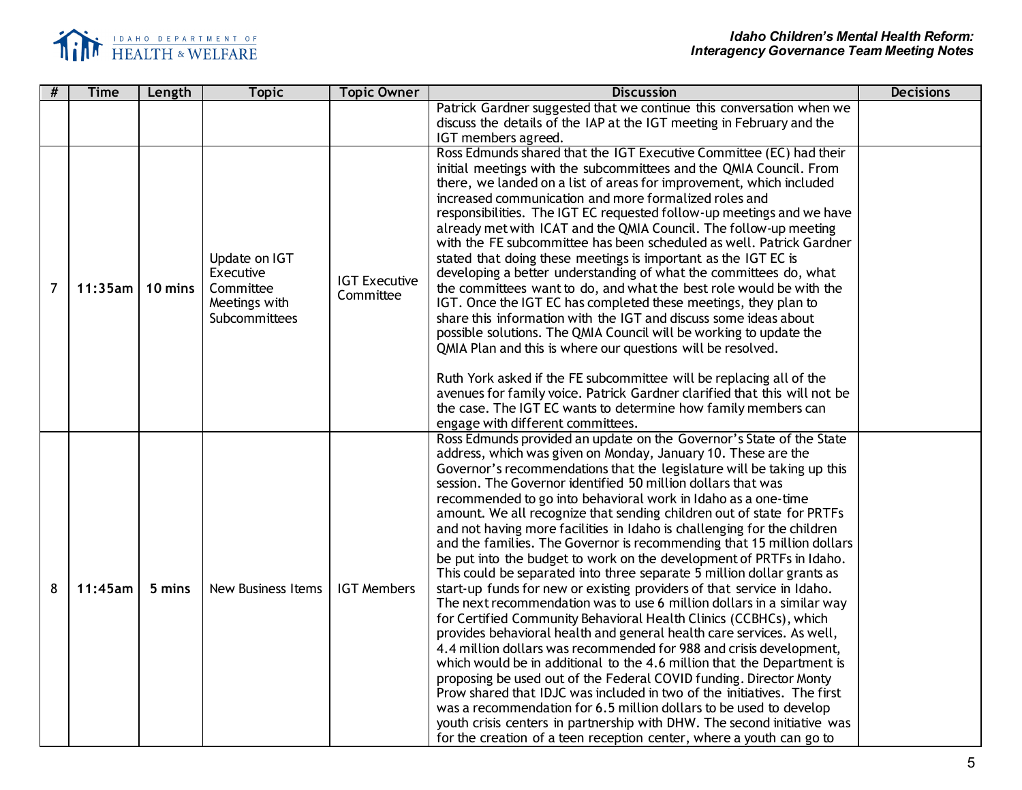

| #              | <b>Time</b> | Length  | <b>Topic</b>                                                              | <b>Topic Owner</b>                | <b>Discussion</b>                                                                                                                                                                                                                                                                                                                                                                                                                                                                                                                                                                                                                                                                                                                                                                                                                                                                                                                                                                                                                                                                                                                                                                                                                                                                                                                                                                                                                                                                                                                                            | <b>Decisions</b> |
|----------------|-------------|---------|---------------------------------------------------------------------------|-----------------------------------|--------------------------------------------------------------------------------------------------------------------------------------------------------------------------------------------------------------------------------------------------------------------------------------------------------------------------------------------------------------------------------------------------------------------------------------------------------------------------------------------------------------------------------------------------------------------------------------------------------------------------------------------------------------------------------------------------------------------------------------------------------------------------------------------------------------------------------------------------------------------------------------------------------------------------------------------------------------------------------------------------------------------------------------------------------------------------------------------------------------------------------------------------------------------------------------------------------------------------------------------------------------------------------------------------------------------------------------------------------------------------------------------------------------------------------------------------------------------------------------------------------------------------------------------------------------|------------------|
|                |             |         |                                                                           |                                   | Patrick Gardner suggested that we continue this conversation when we<br>discuss the details of the IAP at the IGT meeting in February and the<br>IGT members agreed.                                                                                                                                                                                                                                                                                                                                                                                                                                                                                                                                                                                                                                                                                                                                                                                                                                                                                                                                                                                                                                                                                                                                                                                                                                                                                                                                                                                         |                  |
| $\overline{7}$ | 11:35am     | 10 mins | Update on IGT<br>Executive<br>Committee<br>Meetings with<br>Subcommittees | <b>IGT Executive</b><br>Committee | Ross Edmunds shared that the IGT Executive Committee (EC) had their<br>initial meetings with the subcommittees and the QMIA Council. From<br>there, we landed on a list of areas for improvement, which included<br>increased communication and more formalized roles and<br>responsibilities. The IGT EC requested follow-up meetings and we have<br>already met with ICAT and the QMIA Council. The follow-up meeting<br>with the FE subcommittee has been scheduled as well. Patrick Gardner<br>stated that doing these meetings is important as the IGT EC is<br>developing a better understanding of what the committees do, what<br>the committees want to do, and what the best role would be with the<br>IGT. Once the IGT EC has completed these meetings, they plan to<br>share this information with the IGT and discuss some ideas about<br>possible solutions. The QMIA Council will be working to update the<br>QMIA Plan and this is where our questions will be resolved.<br>Ruth York asked if the FE subcommittee will be replacing all of the<br>avenues for family voice. Patrick Gardner clarified that this will not be<br>the case. The IGT EC wants to determine how family members can<br>engage with different committees.                                                                                                                                                                                                                                                                                                         |                  |
| 8              | 11:45am     | 5 mins  | <b>New Business Items</b>                                                 | <b>IGT Members</b>                | Ross Edmunds provided an update on the Governor's State of the State<br>address, which was given on Monday, January 10. These are the<br>Governor's recommendations that the legislature will be taking up this<br>session. The Governor identified 50 million dollars that was<br>recommended to go into behavioral work in Idaho as a one-time<br>amount. We all recognize that sending children out of state for PRTFs<br>and not having more facilities in Idaho is challenging for the children<br>and the families. The Governor is recommending that 15 million dollars<br>be put into the budget to work on the development of PRTFs in Idaho.<br>This could be separated into three separate 5 million dollar grants as<br>start-up funds for new or existing providers of that service in Idaho.<br>The next recommendation was to use 6 million dollars in a similar way<br>for Certified Community Behavioral Health Clinics (CCBHCs), which<br>provides behavioral health and general health care services. As well,<br>4.4 million dollars was recommended for 988 and crisis development,<br>which would be in additional to the 4.6 million that the Department is<br>proposing be used out of the Federal COVID funding. Director Monty<br>Prow shared that IDJC was included in two of the initiatives. The first<br>was a recommendation for 6.5 million dollars to be used to develop<br>youth crisis centers in partnership with DHW. The second initiative was<br>for the creation of a teen reception center, where a youth can go to |                  |